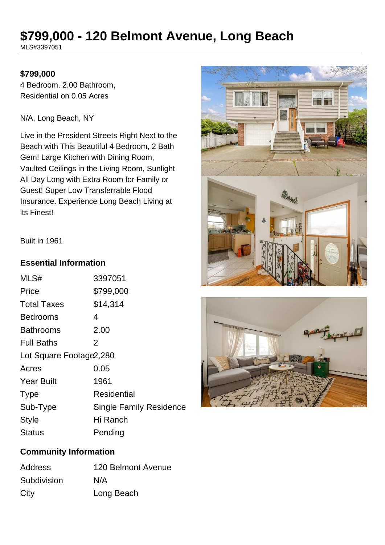# **\$799,000 - 120 Belmont Avenue, Long Beach**

MLS#3397051

#### **\$799,000**

4 Bedroom, 2.00 Bathroom, Residential on 0.05 Acres

N/A, Long Beach, NY

Live in the President Streets Right Next to the Beach with This Beautiful 4 Bedroom, 2 Bath Gem! Large Kitchen with Dining Room, Vaulted Ceilings in the Living Room, Sunlight All Day Long with Extra Room for Family or Guest! Super Low Transferrable Flood Insurance. Experience Long Beach Living at its Finest!





#### Built in 1961

#### **Essential Information**

| MLS#                     | 3397051                        |  |
|--------------------------|--------------------------------|--|
| Price                    | \$799,000                      |  |
| <b>Total Taxes</b>       | \$14,314                       |  |
| <b>Bedrooms</b>          | 4                              |  |
| <b>Bathrooms</b>         | 2.00                           |  |
| <b>Full Baths</b>        | 2                              |  |
| Lot Square Footage 2,280 |                                |  |
| Acres                    | 0.05                           |  |
| <b>Year Built</b>        | 1961                           |  |
| <b>Type</b>              | Residential                    |  |
| Sub-Type                 | <b>Single Family Residence</b> |  |
| <b>Style</b>             | Hi Ranch                       |  |
| Status                   | Pending                        |  |

# **Community Information**

| <b>Address</b> | 120 Belmont Avenue |
|----------------|--------------------|
| Subdivision    | N/A                |
| City           | Long Beach         |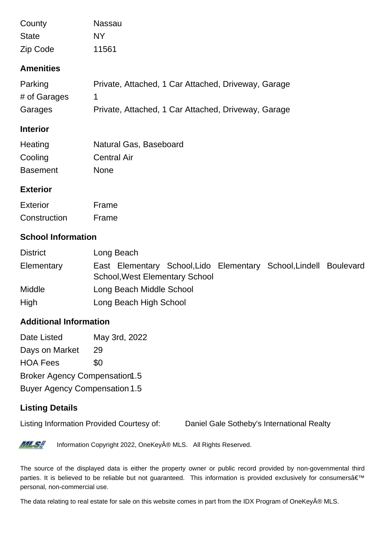| County           | Nassau                                              |
|------------------|-----------------------------------------------------|
| <b>State</b>     | NY.                                                 |
| Zip Code         | 11561                                               |
| <b>Amenities</b> |                                                     |
| Parking          | Private, Attached, 1 Car Attached, Driveway, Garage |
| # of Garages     | 1                                                   |
| Garages          | Private, Attached, 1 Car Attached, Driveway, Garage |
| <b>Interior</b>  |                                                     |
| Heating          | Natural Gas, Baseboard                              |
| Cooling          | <b>Central Air</b>                                  |
| <b>Basement</b>  | <b>None</b>                                         |
| <b>Exterior</b>  |                                                     |
| <b>Exterior</b>  | Frame                                               |
| Construction     | Frame                                               |
|                  |                                                     |

## **School Information**

| <b>District</b> | Long Beach                                                        |
|-----------------|-------------------------------------------------------------------|
| Elementary      | East Elementary School, Lido Elementary School, Lindell Boulevard |
|                 | <b>School, West Elementary School</b>                             |
| <b>Middle</b>   | Long Beach Middle School                                          |
| High            | Long Beach High School                                            |

### **Additional Information**

Date Listed May 3rd, 2022 Days on Market 29 HOA Fees \$0 Broker Agency Compensation1.5 Buyer Agency Compensation 1.5

# **Listing Details**

Listing Information Provided Courtesy of: Daniel Gale Sotheby's International Realty



Information Copyright 2022, OneKey® MLS. All Rights Reserved.

The source of the displayed data is either the property owner or public record provided by non-governmental third parties. It is believed to be reliable but not guaranteed. This information is provided exclusively for consumers' personal, non-commercial use.

The data relating to real estate for sale on this website comes in part from the IDX Program of OneKey® MLS.